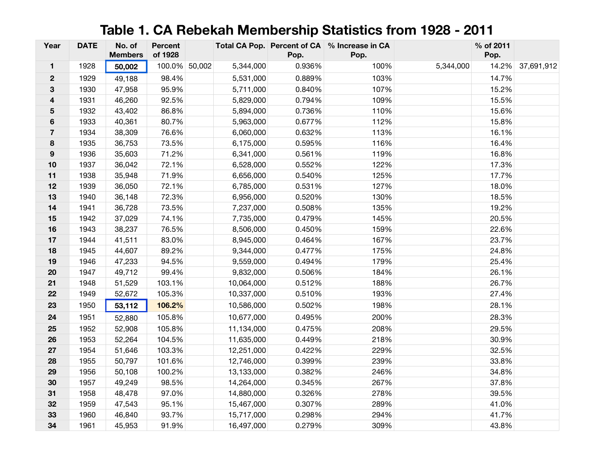## **Table 1. CA Rebekah Membership Statistics from 1928 - 2011**

| Year                    | <b>DATE</b> | No. of<br><b>Members</b> | <b>Percent</b><br>of 1928 |            | Pop.   | Total CA Pop. Percent of CA % Increase in CA<br>Pop. |           | % of 2011<br>Pop. |                  |
|-------------------------|-------------|--------------------------|---------------------------|------------|--------|------------------------------------------------------|-----------|-------------------|------------------|
| $\mathbf{1}$            | 1928        | 50,002                   | 100.0% 50,002             | 5,344,000  | 0.936% | 100%                                                 | 5,344,000 |                   | 14.2% 37,691,912 |
| $\mathbf 2$             | 1929        | 49,188                   | 98.4%                     | 5,531,000  | 0.889% | 103%                                                 |           | 14.7%             |                  |
| 3                       | 1930        | 47,958                   | 95.9%                     | 5,711,000  | 0.840% | 107%                                                 |           | 15.2%             |                  |
| 4                       | 1931        | 46,260                   | 92.5%                     | 5,829,000  | 0.794% | 109%                                                 |           | 15.5%             |                  |
| 5                       | 1932        | 43,402                   | 86.8%                     | 5,894,000  | 0.736% | 110%                                                 |           | 15.6%             |                  |
| 6                       | 1933        | 40,361                   | 80.7%                     | 5,963,000  | 0.677% | 112%                                                 |           | 15.8%             |                  |
| $\overline{\mathbf{7}}$ | 1934        | 38,309                   | 76.6%                     | 6,060,000  | 0.632% | 113%                                                 |           | 16.1%             |                  |
| 8                       | 1935        | 36,753                   | 73.5%                     | 6,175,000  | 0.595% | 116%                                                 |           | 16.4%             |                  |
| $\boldsymbol{9}$        | 1936        | 35,603                   | 71.2%                     | 6,341,000  | 0.561% | 119%                                                 |           | 16.8%             |                  |
| $10$                    | 1937        | 36,042                   | 72.1%                     | 6,528,000  | 0.552% | 122%                                                 |           | 17.3%             |                  |
| 11                      | 1938        | 35,948                   | 71.9%                     | 6,656,000  | 0.540% | 125%                                                 |           | 17.7%             |                  |
| 12                      | 1939        | 36,050                   | 72.1%                     | 6,785,000  | 0.531% | 127%                                                 |           | 18.0%             |                  |
| 13                      | 1940        | 36,148                   | 72.3%                     | 6,956,000  | 0.520% | 130%                                                 |           | 18.5%             |                  |
| 14                      | 1941        | 36,728                   | 73.5%                     | 7,237,000  | 0.508% | 135%                                                 |           | 19.2%             |                  |
| 15                      | 1942        | 37,029                   | 74.1%                     | 7,735,000  | 0.479% | 145%                                                 |           | 20.5%             |                  |
| 16                      | 1943        | 38,237                   | 76.5%                     | 8,506,000  | 0.450% | 159%                                                 |           | 22.6%             |                  |
| 17                      | 1944        | 41,511                   | 83.0%                     | 8,945,000  | 0.464% | 167%                                                 |           | 23.7%             |                  |
| 18                      | 1945        | 44,607                   | 89.2%                     | 9,344,000  | 0.477% | 175%                                                 |           | 24.8%             |                  |
| 19                      | 1946        | 47,233                   | 94.5%                     | 9,559,000  | 0.494% | 179%                                                 |           | 25.4%             |                  |
| 20                      | 1947        | 49,712                   | 99.4%                     | 9,832,000  | 0.506% | 184%                                                 |           | 26.1%             |                  |
| 21                      | 1948        | 51,529                   | 103.1%                    | 10,064,000 | 0.512% | 188%                                                 |           | 26.7%             |                  |
| 22                      | 1949        | 52,672                   | 105.3%                    | 10,337,000 | 0.510% | 193%                                                 |           | 27.4%             |                  |
| 23                      | 1950        | 53,112                   | 106.2%                    | 10,586,000 | 0.502% | 198%                                                 |           | 28.1%             |                  |
| 24                      | 1951        | 52,880                   | 105.8%                    | 10,677,000 | 0.495% | 200%                                                 |           | 28.3%             |                  |
| 25                      | 1952        | 52,908                   | 105.8%                    | 11,134,000 | 0.475% | 208%                                                 |           | 29.5%             |                  |
| 26                      | 1953        | 52,264                   | 104.5%                    | 11,635,000 | 0.449% | 218%                                                 |           | 30.9%             |                  |
| 27                      | 1954        | 51,646                   | 103.3%                    | 12,251,000 | 0.422% | 229%                                                 |           | 32.5%             |                  |
| 28                      | 1955        | 50,797                   | 101.6%                    | 12,746,000 | 0.399% | 239%                                                 |           | 33.8%             |                  |
| 29                      | 1956        | 50,108                   | 100.2%                    | 13,133,000 | 0.382% | 246%                                                 |           | 34.8%             |                  |
| 30                      | 1957        | 49,249                   | 98.5%                     | 14,264,000 | 0.345% | 267%                                                 |           | 37.8%             |                  |
| 31                      | 1958        | 48,478                   | 97.0%                     | 14,880,000 | 0.326% | 278%                                                 |           | 39.5%             |                  |
| 32                      | 1959        | 47,543                   | 95.1%                     | 15,467,000 | 0.307% | 289%                                                 |           | 41.0%             |                  |
| 33                      | 1960        | 46,840                   | 93.7%                     | 15,717,000 | 0.298% | 294%                                                 |           | 41.7%             |                  |
| 34                      | 1961        | 45,953                   | 91.9%                     | 16,497,000 | 0.279% | 309%                                                 |           | 43.8%             |                  |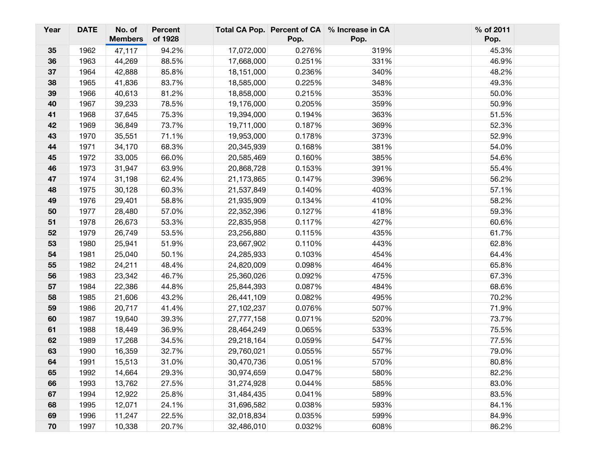| Year | <b>DATE</b> | No. of<br><b>Members</b> | <b>Percent</b><br>of 1928 |            | Pop.   | Total CA Pop. Percent of CA % Increase in CA<br>Pop. | % of 2011<br>Pop. |
|------|-------------|--------------------------|---------------------------|------------|--------|------------------------------------------------------|-------------------|
| 35   | 1962        | 47,117                   | 94.2%                     | 17,072,000 | 0.276% | 319%                                                 | 45.3%             |
| 36   | 1963        | 44,269                   | 88.5%                     | 17,668,000 | 0.251% | 331%                                                 | 46.9%             |
| 37   | 1964        | 42,888                   | 85.8%                     | 18,151,000 | 0.236% | 340%                                                 | 48.2%             |
| 38   | 1965        | 41,836                   | 83.7%                     | 18,585,000 | 0.225% | 348%                                                 | 49.3%             |
| 39   | 1966        | 40,613                   | 81.2%                     | 18,858,000 | 0.215% | 353%                                                 | 50.0%             |
| 40   | 1967        | 39,233                   | 78.5%                     | 19,176,000 | 0.205% | 359%                                                 | 50.9%             |
| 41   | 1968        | 37,645                   | 75.3%                     | 19,394,000 | 0.194% | 363%                                                 | 51.5%             |
| 42   | 1969        | 36,849                   | 73.7%                     | 19,711,000 | 0.187% | 369%                                                 | 52.3%             |
| 43   | 1970        | 35,551                   | 71.1%                     | 19,953,000 | 0.178% | 373%                                                 | 52.9%             |
| 44   | 1971        | 34,170                   | 68.3%                     | 20,345,939 | 0.168% | 381%                                                 | 54.0%             |
| 45   | 1972        | 33,005                   | 66.0%                     | 20,585,469 | 0.160% | 385%                                                 | 54.6%             |
| 46   | 1973        | 31,947                   | 63.9%                     | 20,868,728 | 0.153% | 391%                                                 | 55.4%             |
| 47   | 1974        | 31,198                   | 62.4%                     | 21,173,865 | 0.147% | 396%                                                 | 56.2%             |
| 48   | 1975        | 30,128                   | 60.3%                     | 21,537,849 | 0.140% | 403%                                                 | 57.1%             |
| 49   | 1976        | 29,401                   | 58.8%                     | 21,935,909 | 0.134% | 410%                                                 | 58.2%             |
| 50   | 1977        | 28,480                   | 57.0%                     | 22,352,396 | 0.127% | 418%                                                 | 59.3%             |
| 51   | 1978        | 26,673                   | 53.3%                     | 22,835,958 | 0.117% | 427%                                                 | 60.6%             |
| 52   | 1979        | 26,749                   | 53.5%                     | 23,256,880 | 0.115% | 435%                                                 | 61.7%             |
| 53   | 1980        | 25,941                   | 51.9%                     | 23,667,902 | 0.110% | 443%                                                 | 62.8%             |
| 54   | 1981        | 25,040                   | 50.1%                     | 24,285,933 | 0.103% | 454%                                                 | 64.4%             |
| 55   | 1982        | 24,211                   | 48.4%                     | 24,820,009 | 0.098% | 464%                                                 | 65.8%             |
| 56   | 1983        | 23,342                   | 46.7%                     | 25,360,026 | 0.092% | 475%                                                 | 67.3%             |
| 57   | 1984        | 22,386                   | 44.8%                     | 25,844,393 | 0.087% | 484%                                                 | 68.6%             |
| 58   | 1985        | 21,606                   | 43.2%                     | 26,441,109 | 0.082% | 495%                                                 | 70.2%             |
| 59   | 1986        | 20,717                   | 41.4%                     | 27,102,237 | 0.076% | 507%                                                 | 71.9%             |
| 60   | 1987        | 19,640                   | 39.3%                     | 27,777,158 | 0.071% | 520%                                                 | 73.7%             |
| 61   | 1988        | 18,449                   | 36.9%                     | 28,464,249 | 0.065% | 533%                                                 | 75.5%             |
| 62   | 1989        | 17,268                   | 34.5%                     | 29,218,164 | 0.059% | 547%                                                 | 77.5%             |
| 63   | 1990        | 16,359                   | 32.7%                     | 29,760,021 | 0.055% | 557%                                                 | 79.0%             |
| 64   | 1991        | 15,513                   | 31.0%                     | 30,470,736 | 0.051% | 570%                                                 | 80.8%             |
| 65   | 1992        | 14,664                   | 29.3%                     | 30,974,659 | 0.047% | 580%                                                 | 82.2%             |
| 66   | 1993        | 13,762                   | 27.5%                     | 31,274,928 | 0.044% | 585%                                                 | 83.0%             |
| 67   | 1994        | 12,922                   | 25.8%                     | 31,484,435 | 0.041% | 589%                                                 | 83.5%             |
| 68   | 1995        | 12,071                   | 24.1%                     | 31,696,582 | 0.038% | 593%                                                 | 84.1%             |
| 69   | 1996        | 11,247                   | 22.5%                     | 32,018,834 | 0.035% | 599%                                                 | 84.9%             |
| 70   | 1997        | 10,338                   | 20.7%                     | 32,486,010 | 0.032% | 608%                                                 | 86.2%             |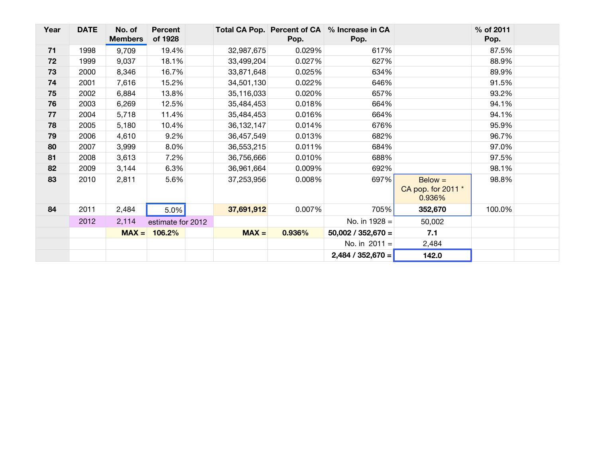| Year | <b>DATE</b> | No. of<br><b>Members</b> | <b>Percent</b><br>of 1928 |              | Pop.   | Total CA Pop. Percent of CA % Increase in CA<br>Pop. |                                           | % of 2011<br>Pop. |  |
|------|-------------|--------------------------|---------------------------|--------------|--------|------------------------------------------------------|-------------------------------------------|-------------------|--|
| 71   | 1998        | 9,709                    | 19.4%                     | 32,987,675   | 0.029% | 617%                                                 |                                           | 87.5%             |  |
| 72   | 1999        | 9,037                    | 18.1%                     | 33,499,204   | 0.027% | 627%                                                 |                                           | 88.9%             |  |
| 73   | 2000        | 8,346                    | 16.7%                     | 33,871,648   | 0.025% | 634%                                                 |                                           | 89.9%             |  |
| 74   | 2001        | 7,616                    | 15.2%                     | 34,501,130   | 0.022% | 646%                                                 |                                           | 91.5%             |  |
| 75   | 2002        | 6,884                    | 13.8%                     | 35,116,033   | 0.020% | 657%                                                 |                                           | 93.2%             |  |
| 76   | 2003        | 6,269                    | 12.5%                     | 35,484,453   | 0.018% | 664%                                                 |                                           | 94.1%             |  |
| 77   | 2004        | 5,718                    | 11.4%                     | 35,484,453   | 0.016% | 664%                                                 |                                           | 94.1%             |  |
| 78   | 2005        | 5,180                    | 10.4%                     | 36, 132, 147 | 0.014% | 676%                                                 |                                           | 95.9%             |  |
| 79   | 2006        | 4,610                    | 9.2%                      | 36,457,549   | 0.013% | 682%                                                 |                                           | 96.7%             |  |
| 80   | 2007        | 3,999                    | 8.0%                      | 36,553,215   | 0.011% | 684%                                                 |                                           | 97.0%             |  |
| 81   | 2008        | 3,613                    | 7.2%                      | 36,756,666   | 0.010% | 688%                                                 |                                           | 97.5%             |  |
| 82   | 2009        | 3,144                    | 6.3%                      | 36,961,664   | 0.009% | 692%                                                 |                                           | 98.1%             |  |
| 83   | 2010        | 2,811                    | 5.6%                      | 37,253,956   | 0.008% | 697%                                                 | $Below =$<br>CA pop. for 2011 *<br>0.936% | 98.8%             |  |
| 84   | 2011        | 2,484                    | 5.0%                      | 37,691,912   | 0.007% | 705%                                                 | 352,670                                   | 100.0%            |  |
|      | 2012        | 2,114                    | estimate for 2012         |              |        | No. in $1928 =$                                      | 50,002                                    |                   |  |
|      |             |                          | $MAX = 106.2%$            | $MAX =$      | 0.936% | $50,002 / 352,670 =$                                 | 7.1                                       |                   |  |
|      |             |                          |                           |              |        | No. in $2011 =$                                      | 2,484                                     |                   |  |
|      |             |                          |                           |              |        | $2,484 / 352,670 =$                                  | 142.0                                     |                   |  |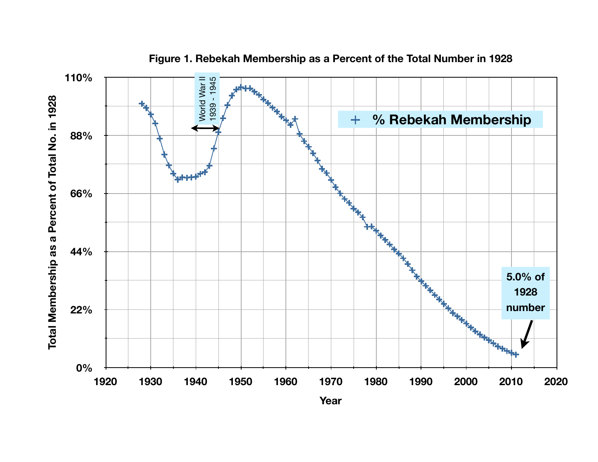

**Figure 1. Rebekah Membership as a Percent of the Total Number in 1928**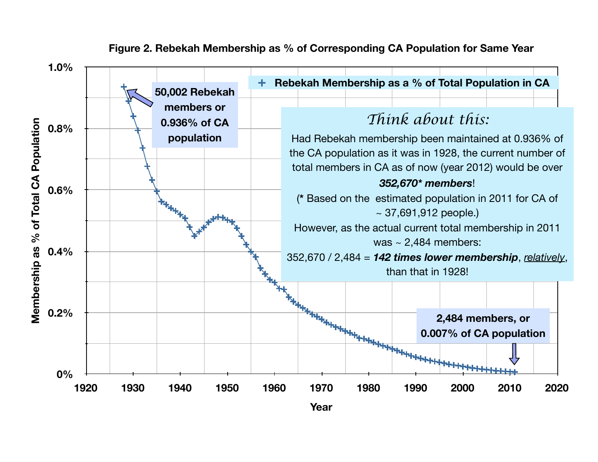

## **Figure 2. Rebekah Membership as % of Corresponding CA Population for Same Year**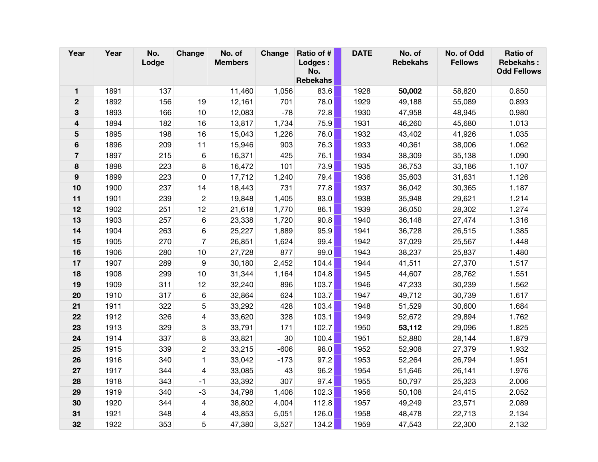| Year             | Year | No.<br>Lodge | Change         | No. of<br><b>Members</b> | Change | Ratio of #<br>Lodges:<br>No.<br><b>Rebekahs</b> | <b>DATE</b> | No. of<br><b>Rebekahs</b> | No. of Odd<br><b>Fellows</b> | <b>Ratio of</b><br><b>Rebekahs:</b><br><b>Odd Fellows</b> |
|------------------|------|--------------|----------------|--------------------------|--------|-------------------------------------------------|-------------|---------------------------|------------------------------|-----------------------------------------------------------|
| 1                | 1891 | 137          |                | 11,460                   | 1,056  | 83.6                                            | 1928        | 50,002                    | 58,820                       | 0.850                                                     |
| $\boldsymbol{2}$ | 1892 | 156          | 19             | 12,161                   | 701    | 78.0                                            | 1929        | 49,188                    | 55,089                       | 0.893                                                     |
| 3                | 1893 | 166          | 10             | 12,083                   | $-78$  | 72.8                                            | 1930        | 47,958                    | 48,945                       | 0.980                                                     |
| 4                | 1894 | 182          | 16             | 13,817                   | 1,734  | 75.9                                            | 1931        | 46,260                    | 45,680                       | 1.013                                                     |
| 5                | 1895 | 198          | 16             | 15,043                   | 1,226  | 76.0                                            | 1932        | 43,402                    | 41,926                       | 1.035                                                     |
| 6                | 1896 | 209          | 11             | 15,946                   | 903    | 76.3                                            | 1933        | 40,361                    | 38,006                       | 1.062                                                     |
| $\overline{7}$   | 1897 | 215          | 6              | 16,371                   | 425    | 76.1                                            | 1934        | 38,309                    | 35,138                       | 1.090                                                     |
| 8                | 1898 | 223          | 8              | 16,472                   | 101    | 73.9                                            | 1935        | 36,753                    | 33,186                       | 1.107                                                     |
| 9                | 1899 | 223          | 0              | 17,712                   | 1,240  | 79.4                                            | 1936        | 35,603                    | 31,631                       | 1.126                                                     |
| 10               | 1900 | 237          | 14             | 18,443                   | 731    | 77.8                                            | 1937        | 36,042                    | 30,365                       | 1.187                                                     |
| 11               | 1901 | 239          | $\mathbf{2}$   | 19,848                   | 1,405  | 83.0                                            | 1938        | 35,948                    | 29,621                       | 1.214                                                     |
| 12               | 1902 | 251          | 12             | 21,618                   | 1,770  | 86.1                                            | 1939        | 36,050                    | 28,302                       | 1.274                                                     |
| 13               | 1903 | 257          | 6              | 23,338                   | 1,720  | 90.8                                            | 1940        | 36,148                    | 27,474                       | 1.316                                                     |
| 14               | 1904 | 263          | 6              | 25,227                   | 1,889  | 95.9                                            | 1941        | 36,728                    | 26,515                       | 1.385                                                     |
| 15               | 1905 | 270          | $\overline{7}$ | 26,851                   | 1,624  | 99.4                                            | 1942        | 37,029                    | 25,567                       | 1.448                                                     |
| 16               | 1906 | 280          | 10             | 27,728                   | 877    | 99.0                                            | 1943        | 38,237                    | 25,837                       | 1.480                                                     |
| 17               | 1907 | 289          | 9              | 30,180                   | 2,452  | 104.4                                           | 1944        | 41,511                    | 27,370                       | 1.517                                                     |
| 18               | 1908 | 299          | 10             | 31,344                   | 1,164  | 104.8                                           | 1945        | 44,607                    | 28,762                       | 1.551                                                     |
| 19               | 1909 | 311          | 12             | 32,240                   | 896    | 103.7                                           | 1946        | 47,233                    | 30,239                       | 1.562                                                     |
| 20               | 1910 | 317          | 6              | 32,864                   | 624    | 103.7                                           | 1947        | 49,712                    | 30,739                       | 1.617                                                     |
| 21               | 1911 | 322          | 5              | 33,292                   | 428    | 103.4                                           | 1948        | 51,529                    | 30,600                       | 1.684                                                     |
| 22               | 1912 | 326          | 4              | 33,620                   | 328    | 103.1                                           | 1949        | 52,672                    | 29,894                       | 1.762                                                     |
| 23               | 1913 | 329          | 3              | 33,791                   | 171    | 102.7                                           | 1950        | 53,112                    | 29,096                       | 1.825                                                     |
| 24               | 1914 | 337          | 8              | 33,821                   | 30     | 100.4                                           | 1951        | 52,880                    | 28,144                       | 1.879                                                     |
| 25               | 1915 | 339          | $\mathbf{c}$   | 33,215                   | $-606$ | 98.0                                            | 1952        | 52,908                    | 27,379                       | 1.932                                                     |
| 26               | 1916 | 340          | $\mathbf{1}$   | 33,042                   | $-173$ | 97.2                                            | 1953        | 52,264                    | 26,794                       | 1.951                                                     |
| 27               | 1917 | 344          | 4              | 33,085                   | 43     | 96.2                                            | 1954        | 51,646                    | 26,141                       | 1.976                                                     |
| 28               | 1918 | 343          | $-1$           | 33,392                   | 307    | 97.4                                            | 1955        | 50,797                    | 25,323                       | 2.006                                                     |
| 29               | 1919 | 340          | $-3$           | 34,798                   | 1,406  | 102.3                                           | 1956        | 50,108                    | 24,415                       | 2.052                                                     |
| 30               | 1920 | 344          | 4              | 38,802                   | 4,004  | 112.8                                           | 1957        | 49,249                    | 23,571                       | 2.089                                                     |
| 31               | 1921 | 348          | 4              | 43,853                   | 5,051  | 126.0                                           | 1958        | 48,478                    | 22,713                       | 2.134                                                     |
| 32               | 1922 | 353          | 5              | 47,380                   | 3,527  | 134.2                                           | 1959        | 47,543                    | 22,300                       | 2.132                                                     |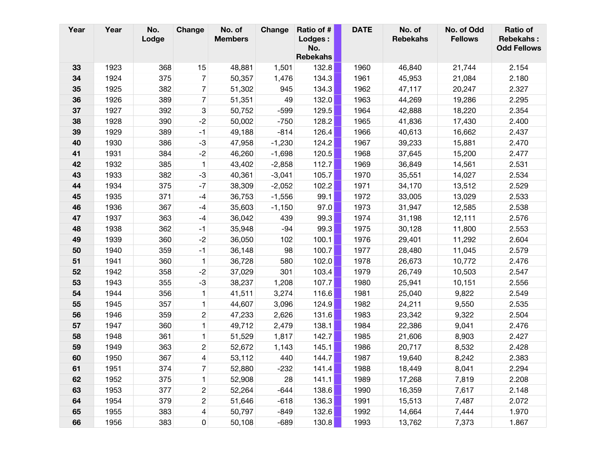| Year | Year | No.<br>Lodge | Change         | No. of<br><b>Members</b> | Change   | Ratio of #<br>Lodges :<br>No.<br><b>Rebekahs</b> | <b>DATE</b> | No. of<br><b>Rebekahs</b> | No. of Odd<br><b>Fellows</b> | <b>Ratio of</b><br><b>Rebekahs:</b><br><b>Odd Fellows</b> |
|------|------|--------------|----------------|--------------------------|----------|--------------------------------------------------|-------------|---------------------------|------------------------------|-----------------------------------------------------------|
| 33   | 1923 | 368          | 15             | 48,881                   | 1,501    | 132.8                                            | 1960        | 46,840                    | 21,744                       | 2.154                                                     |
| 34   | 1924 | 375          | 7              | 50,357                   | 1,476    | 134.3                                            | 1961        | 45,953                    | 21,084                       | 2.180                                                     |
| 35   | 1925 | 382          | 7              | 51,302                   | 945      | 134.3                                            | 1962        | 47,117                    | 20,247                       | 2.327                                                     |
| 36   | 1926 | 389          | $\overline{7}$ | 51,351                   | 49       | 132.0                                            | 1963        | 44,269                    | 19,286                       | 2.295                                                     |
| 37   | 1927 | 392          | 3              | 50,752                   | $-599$   | 129.5                                            | 1964        | 42,888                    | 18,220                       | 2.354                                                     |
| 38   | 1928 | 390          | $-2$           | 50,002                   | $-750$   | 128.2                                            | 1965        | 41,836                    | 17,430                       | 2.400                                                     |
| 39   | 1929 | 389          | $-1$           | 49,188                   | $-814$   | 126.4                                            | 1966        | 40,613                    | 16,662                       | 2.437                                                     |
| 40   | 1930 | 386          | $-3$           | 47,958                   | $-1,230$ | 124.2                                            | 1967        | 39,233                    | 15,881                       | 2.470                                                     |
| 41   | 1931 | 384          | $-2$           | 46,260                   | $-1,698$ | 120.5                                            | 1968        | 37,645                    | 15,200                       | 2.477                                                     |
| 42   | 1932 | 385          | $\mathbf{1}$   | 43,402                   | $-2,858$ | 112.7                                            | 1969        | 36,849                    | 14,561                       | 2.531                                                     |
| 43   | 1933 | 382          | $-3$           | 40,361                   | $-3,041$ | 105.7                                            | 1970        | 35,551                    | 14,027                       | 2.534                                                     |
| 44   | 1934 | 375          | $-7$           | 38,309                   | $-2,052$ | 102.2                                            | 1971        | 34,170                    | 13,512                       | 2.529                                                     |
| 45   | 1935 | 371          | $-4$           | 36,753                   | $-1,556$ | 99.1                                             | 1972        | 33,005                    | 13,029                       | 2.533                                                     |
| 46   | 1936 | 367          | -4             | 35,603                   | $-1,150$ | 97.0                                             | 1973        | 31,947                    | 12,585                       | 2.538                                                     |
| 47   | 1937 | 363          | $-4$           | 36,042                   | 439      | 99.3                                             | 1974        | 31,198                    | 12,111                       | 2.576                                                     |
| 48   | 1938 | 362          | $-1$           | 35,948                   | $-94$    | 99.3                                             | 1975        | 30,128                    | 11,800                       | 2.553                                                     |
| 49   | 1939 | 360          | $-2$           | 36,050                   | 102      | 100.1                                            | 1976        | 29,401                    | 11,292                       | 2.604                                                     |
| 50   | 1940 | 359          | $-1$           | 36,148                   | 98       | 100.7                                            | 1977        | 28,480                    | 11,045                       | 2.579                                                     |
| 51   | 1941 | 360          | $\mathbf{1}$   | 36,728                   | 580      | 102.0                                            | 1978        | 26,673                    | 10,772                       | 2.476                                                     |
| 52   | 1942 | 358          | $-2$           | 37,029                   | 301      | 103.4                                            | 1979        | 26,749                    | 10,503                       | 2.547                                                     |
| 53   | 1943 | 355          | $-3$           | 38,237                   | 1,208    | 107.7                                            | 1980        | 25,941                    | 10,151                       | 2.556                                                     |
| 54   | 1944 | 356          | 1              | 41,511                   | 3,274    | 116.6                                            | 1981        | 25,040                    | 9,822                        | 2.549                                                     |
| 55   | 1945 | 357          | 1              | 44,607                   | 3,096    | 124.9                                            | 1982        | 24,211                    | 9,550                        | 2.535                                                     |
| 56   | 1946 | 359          | $\overline{c}$ | 47,233                   | 2,626    | 131.6                                            | 1983        | 23,342                    | 9,322                        | 2.504                                                     |
| 57   | 1947 | 360          | 1              | 49,712                   | 2,479    | 138.1                                            | 1984        | 22,386                    | 9,041                        | 2.476                                                     |
| 58   | 1948 | 361          | 1              | 51,529                   | 1,817    | 142.7                                            | 1985        | 21,606                    | 8,903                        | 2.427                                                     |
| 59   | 1949 | 363          | $\overline{c}$ | 52,672                   | 1,143    | 145.1                                            | 1986        | 20,717                    | 8,532                        | 2.428                                                     |
| 60   | 1950 | 367          | 4              | 53,112                   | 440      | 144.7                                            | 1987        | 19,640                    | 8,242                        | 2.383                                                     |
| 61   | 1951 | 374          | 7              | 52,880                   | $-232$   | 141.4                                            | 1988        | 18,449                    | 8,041                        | 2.294                                                     |
| 62   | 1952 | 375          | 1              | 52,908                   | 28       | 141.1                                            | 1989        | 17,268                    | 7,819                        | 2.208                                                     |
| 63   | 1953 | 377          | $\overline{c}$ | 52,264                   | $-644$   | 138.6                                            | 1990        | 16,359                    | 7,617                        | 2.148                                                     |
| 64   | 1954 | 379          | $\overline{c}$ | 51,646                   | $-618$   | 136.3                                            | 1991        | 15,513                    | 7,487                        | 2.072                                                     |
| 65   | 1955 | 383          | $\overline{4}$ | 50,797                   | $-849$   | 132.6                                            | 1992        | 14,664                    | 7,444                        | 1.970                                                     |
| 66   | 1956 | 383          | 0              | 50,108                   | $-689$   | 130.8                                            | 1993        | 13,762                    | 7,373                        | 1.867                                                     |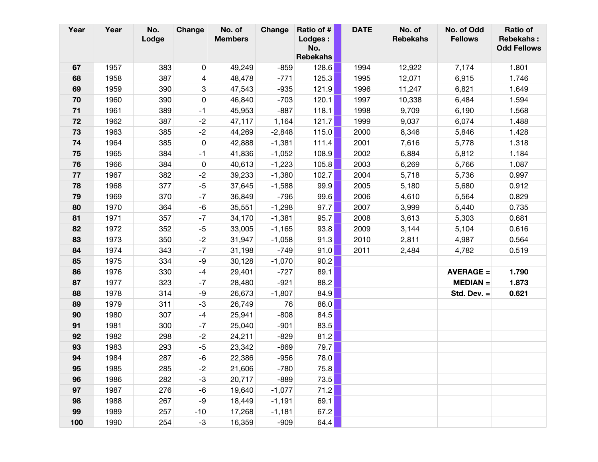| Year | Year | No.<br>Lodge | Change    | No. of<br><b>Members</b> | Change   | Ratio of #<br>Lodges :<br>No.<br><b>Rebekahs</b> | <b>DATE</b> | No. of<br><b>Rebekahs</b> | No. of Odd<br><b>Fellows</b> | <b>Ratio of</b><br><b>Rebekahs:</b><br><b>Odd Fellows</b> |
|------|------|--------------|-----------|--------------------------|----------|--------------------------------------------------|-------------|---------------------------|------------------------------|-----------------------------------------------------------|
| 67   | 1957 | 383          | 0         | 49,249                   | $-859$   | 128.6                                            | 1994        | 12,922                    | 7,174                        | 1.801                                                     |
| 68   | 1958 | 387          | 4         | 48,478                   | $-771$   | 125.3                                            | 1995        | 12,071                    | 6,915                        | 1.746                                                     |
| 69   | 1959 | 390          | 3         | 47,543                   | $-935$   | 121.9                                            | 1996        | 11,247                    | 6,821                        | 1.649                                                     |
| 70   | 1960 | 390          | $\pmb{0}$ | 46,840                   | $-703$   | 120.1                                            | 1997        | 10,338                    | 6,484                        | 1.594                                                     |
| $71$ | 1961 | 389          | $-1$      | 45,953                   | $-887$   | 118.1                                            | 1998        | 9,709                     | 6,190                        | 1.568                                                     |
| 72   | 1962 | 387          | $-2$      | 47,117                   | 1,164    | 121.7                                            | 1999        | 9,037                     | 6,074                        | 1.488                                                     |
| 73   | 1963 | 385          | $-2$      | 44,269                   | $-2,848$ | 115.0                                            | 2000        | 8,346                     | 5,846                        | 1.428                                                     |
| 74   | 1964 | 385          | 0         | 42,888                   | $-1,381$ | 111.4                                            | 2001        | 7,616                     | 5,778                        | 1.318                                                     |
| 75   | 1965 | 384          | $-1$      | 41,836                   | $-1,052$ | 108.9                                            | 2002        | 6,884                     | 5,812                        | 1.184                                                     |
| 76   | 1966 | 384          | 0         | 40,613                   | $-1,223$ | 105.8                                            | 2003        | 6,269                     | 5,766                        | 1.087                                                     |
| 77   | 1967 | 382          | $-2$      | 39,233                   | $-1,380$ | 102.7                                            | 2004        | 5,718                     | 5,736                        | 0.997                                                     |
| 78   | 1968 | 377          | $-5$      | 37,645                   | $-1,588$ | 99.9                                             | 2005        | 5,180                     | 5,680                        | 0.912                                                     |
| 79   | 1969 | 370          | $-7$      | 36,849                   | $-796$   | 99.6                                             | 2006        | 4,610                     | 5,564                        | 0.829                                                     |
| 80   | 1970 | 364          | -6        | 35,551                   | $-1,298$ | 97.7                                             | 2007        | 3,999                     | 5,440                        | 0.735                                                     |
| 81   | 1971 | 357          | $-7$      | 34,170                   | $-1,381$ | 95.7                                             | 2008        | 3,613                     | 5,303                        | 0.681                                                     |
| 82   | 1972 | 352          | $-5$      | 33,005                   | $-1,165$ | 93.8                                             | 2009        | 3,144                     | 5,104                        | 0.616                                                     |
| 83   | 1973 | 350          | $-2$      | 31,947                   | $-1,058$ | 91.3                                             | 2010        | 2,811                     | 4,987                        | 0.564                                                     |
| 84   | 1974 | 343          | $-7$      | 31,198                   | $-749$   | 91.0                                             | 2011        | 2,484                     | 4,782                        | 0.519                                                     |
| 85   | 1975 | 334          | -9        | 30,128                   | $-1,070$ | 90.2                                             |             |                           |                              |                                                           |
| 86   | 1976 | 330          | $-4$      | 29,401                   | $-727$   | 89.1                                             |             |                           | $AVERAGE =$                  | 1.790                                                     |
| 87   | 1977 | 323          | $-7$      | 28,480                   | $-921$   | 88.2                                             |             |                           | $MEDIAN =$                   | 1.873                                                     |
| 88   | 1978 | 314          | -9        | 26,673                   | $-1,807$ | 84.9                                             |             |                           | Std. Dev. $=$                | 0.621                                                     |
| 89   | 1979 | 311          | $-3$      | 26,749                   | 76       | 86.0                                             |             |                           |                              |                                                           |
| 90   | 1980 | 307          | $-4$      | 25,941                   | $-808$   | 84.5                                             |             |                           |                              |                                                           |
| 91   | 1981 | 300          | $-7$      | 25,040                   | $-901$   | 83.5                                             |             |                           |                              |                                                           |
| 92   | 1982 | 298          | $-2$      | 24,211                   | $-829$   | 81.2                                             |             |                           |                              |                                                           |
| 93   | 1983 | 293          | $-5$      | 23,342                   | $-869$   | 79.7                                             |             |                           |                              |                                                           |
| 94   | 1984 | 287          | -6        | 22,386                   | $-956$   | 78.0                                             |             |                           |                              |                                                           |
| 95   | 1985 | 285          | $-2$      | 21,606                   | $-780$   | 75.8                                             |             |                           |                              |                                                           |
| 96   | 1986 | 282          | $-3$      | 20,717                   | $-889$   | 73.5                                             |             |                           |                              |                                                           |
| 97   | 1987 | 276          | -6        | 19,640                   | $-1,077$ | 71.2                                             |             |                           |                              |                                                           |
| 98   | 1988 | 267          | -9        | 18,449                   | $-1,191$ | 69.1                                             |             |                           |                              |                                                           |
| 99   | 1989 | 257          | $-10$     | 17,268                   | $-1,181$ | 67.2                                             |             |                           |                              |                                                           |
| 100  | 1990 | 254          | $-3$      | 16,359                   | $-909$   | 64.4                                             |             |                           |                              |                                                           |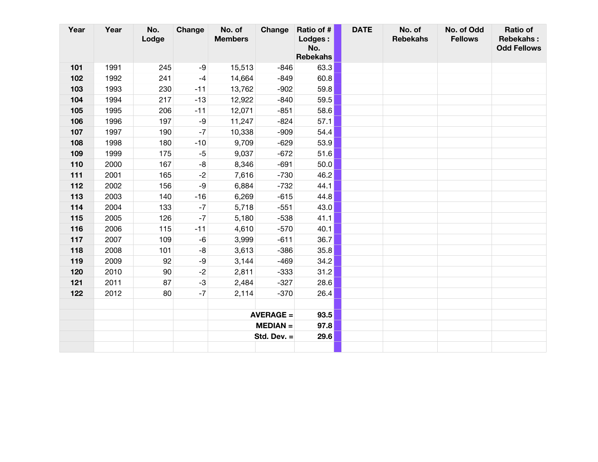| Year | Year | No.<br>Lodge | Change | No. of<br><b>Members</b> | Change           | Ratio of #<br><b>Lodges:</b><br>No.<br><b>Rebekahs</b> | <b>DATE</b> | No. of<br><b>Rebekahs</b> | No. of Odd<br><b>Fellows</b> | <b>Ratio of</b><br><b>Rebekahs:</b><br><b>Odd Fellows</b> |
|------|------|--------------|--------|--------------------------|------------------|--------------------------------------------------------|-------------|---------------------------|------------------------------|-----------------------------------------------------------|
| 101  | 1991 | 245          | -9     | 15,513                   | $-846$           | 63.3                                                   |             |                           |                              |                                                           |
| 102  | 1992 | 241          | $-4$   | 14,664                   | $-849$           | 60.8                                                   |             |                           |                              |                                                           |
| 103  | 1993 | 230          | $-11$  | 13,762                   | $-902$           | 59.8                                                   |             |                           |                              |                                                           |
| 104  | 1994 | 217          | $-13$  | 12,922                   | $-840$           | 59.5                                                   |             |                           |                              |                                                           |
| 105  | 1995 | 206          | $-11$  | 12,071                   | $-851$           | 58.6                                                   |             |                           |                              |                                                           |
| 106  | 1996 | 197          | -9     | 11,247                   | $-824$           | 57.1                                                   |             |                           |                              |                                                           |
| 107  | 1997 | 190          | $-7$   | 10,338                   | $-909$           | 54.4                                                   |             |                           |                              |                                                           |
| 108  | 1998 | 180          | $-10$  | 9,709                    | $-629$           | 53.9                                                   |             |                           |                              |                                                           |
| 109  | 1999 | 175          | $-5$   | 9,037                    | $-672$           | 51.6                                                   |             |                           |                              |                                                           |
| 110  | 2000 | 167          | -8     | 8,346                    | $-691$           | 50.0                                                   |             |                           |                              |                                                           |
| 111  | 2001 | 165          | $-2$   | 7,616                    | $-730$           | 46.2                                                   |             |                           |                              |                                                           |
| 112  | 2002 | 156          | $-9$   | 6,884                    | $-732$           | 44.1                                                   |             |                           |                              |                                                           |
| 113  | 2003 | 140          | $-16$  | 6,269                    | $-615$           | 44.8                                                   |             |                           |                              |                                                           |
| 114  | 2004 | 133          | $-7$   | 5,718                    | $-551$           | 43.0                                                   |             |                           |                              |                                                           |
| 115  | 2005 | 126          | $-7$   | 5,180                    | $-538$           | 41.1                                                   |             |                           |                              |                                                           |
| 116  | 2006 | 115          | $-11$  | 4,610                    | $-570$           | 40.1                                                   |             |                           |                              |                                                           |
| 117  | 2007 | 109          | -6     | 3,999                    | $-611$           | 36.7                                                   |             |                           |                              |                                                           |
| 118  | 2008 | 101          | -8     | 3,613                    | $-386$           | 35.8                                                   |             |                           |                              |                                                           |
| 119  | 2009 | 92           | -9     | 3,144                    | $-469$           | 34.2                                                   |             |                           |                              |                                                           |
| 120  | 2010 | 90           | $-2$   | 2,811                    | $-333$           | 31.2                                                   |             |                           |                              |                                                           |
| 121  | 2011 | 87           | $-3$   | 2,484                    | $-327$           | 28.6                                                   |             |                           |                              |                                                           |
| 122  | 2012 | 80           | $-7$   | 2,114                    | $-370$           | 26.4                                                   |             |                           |                              |                                                           |
|      |      |              |        |                          |                  |                                                        |             |                           |                              |                                                           |
|      |      |              |        |                          | <b>AVERAGE =</b> | 93.5                                                   |             |                           |                              |                                                           |
|      |      |              |        |                          | $MEDIAN =$       | 97.8                                                   |             |                           |                              |                                                           |
|      |      |              |        |                          | Std. Dev. $=$    | 29.6                                                   |             |                           |                              |                                                           |
|      |      |              |        |                          |                  |                                                        |             |                           |                              |                                                           |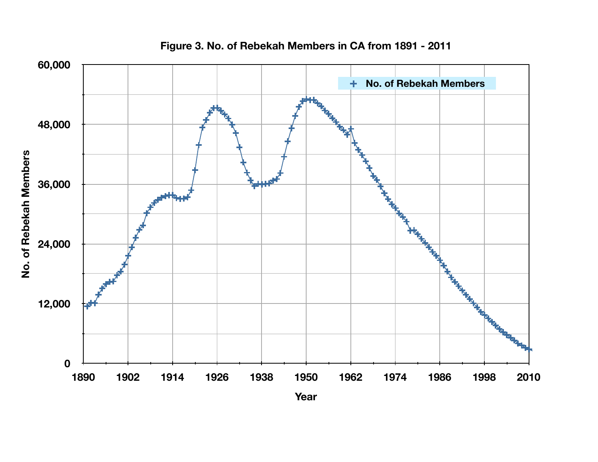

**Figure 3. No. of Rebekah Members in CA from 1891 - 2011**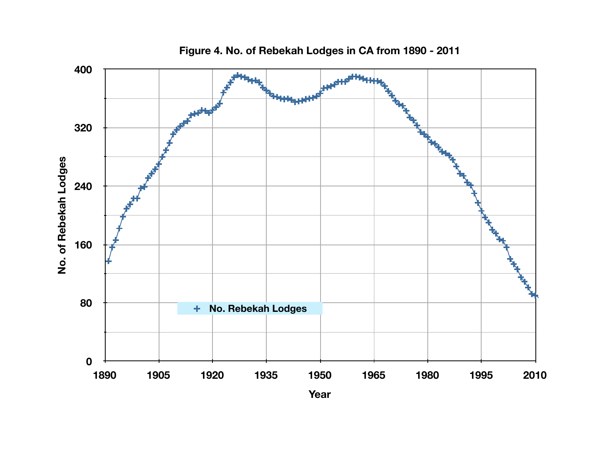![](_page_10_Figure_0.jpeg)

**Figure 4. No. of Rebekah Lodges in CA from 1890 - 2011**

**Year**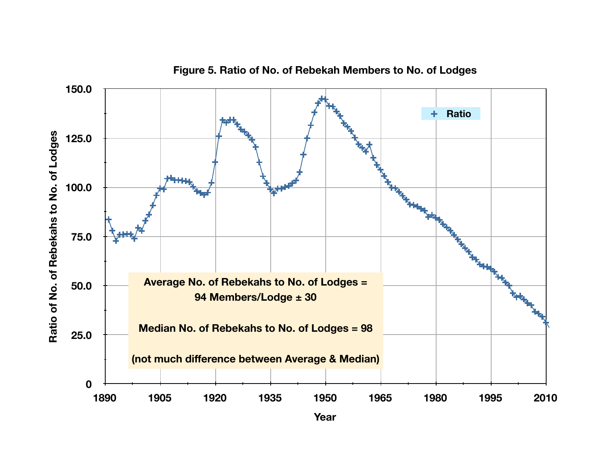![](_page_11_Figure_0.jpeg)

**Figure 5. Ratio of No. of Rebekah Members to No. of Lodges**